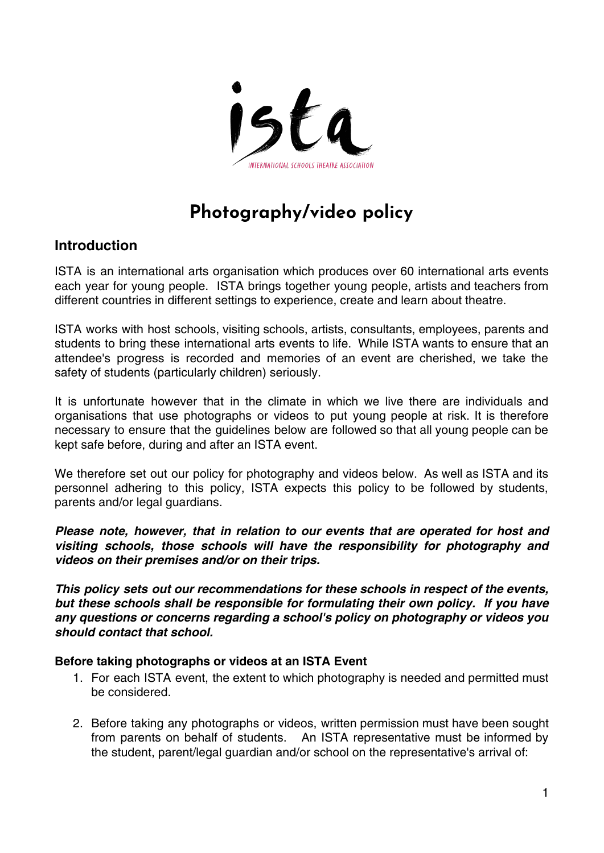

# **Photography/video policy**

# **Introduction**

ISTA is an international arts organisation which produces over 60 international arts events each year for young people. ISTA brings together young people, artists and teachers from different countries in different settings to experience, create and learn about theatre.

ISTA works with host schools, visiting schools, artists, consultants, employees, parents and students to bring these international arts events to life. While ISTA wants to ensure that an attendee's progress is recorded and memories of an event are cherished, we take the safety of students (particularly children) seriously.

It is unfortunate however that in the climate in which we live there are individuals and organisations that use photographs or videos to put young people at risk. It is therefore necessary to ensure that the guidelines below are followed so that all young people can be kept safe before, during and after an ISTA event.

We therefore set out our policy for photography and videos below. As well as ISTA and its personnel adhering to this policy, ISTA expects this policy to be followed by students, parents and/or legal guardians.

**Please note, however, that in relation to our events that are operated for host and visiting schools, those schools will have the responsibility for photography and videos on their premises and/or on their trips.**

**This policy sets out our recommendations for these schools in respect of the events, but these schools shall be responsible for formulating their own policy. If you have any questions or concerns regarding a school's policy on photography or videos you should contact that school.**

# **Before taking photographs or videos at an ISTA Event**

- 1. For each ISTA event, the extent to which photography is needed and permitted must be considered.
- 2. Before taking any photographs or videos, written permission must have been sought from parents on behalf of students. An ISTA representative must be informed by the student, parent/legal guardian and/or school on the representative's arrival of: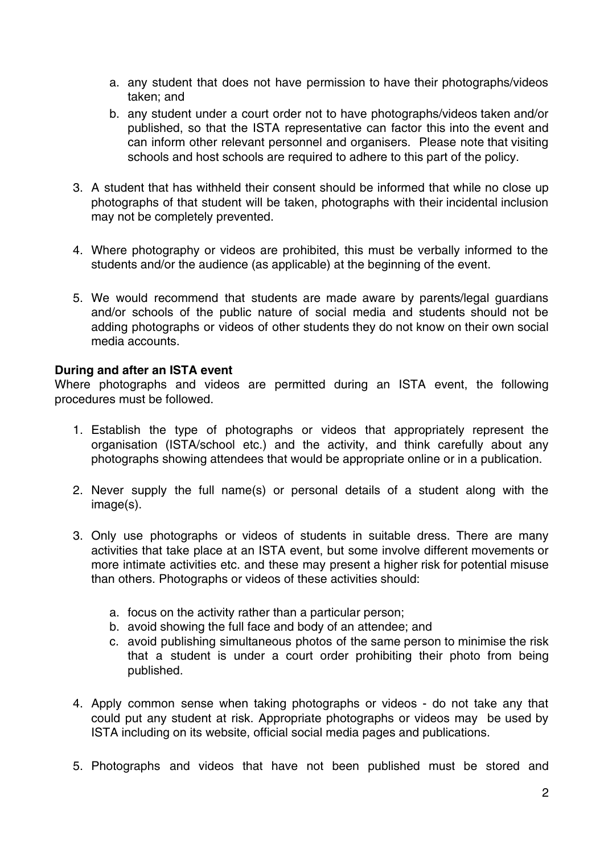- a. any student that does not have permission to have their photographs/videos taken; and
- b. any student under a court order not to have photographs/videos taken and/or published, so that the ISTA representative can factor this into the event and can inform other relevant personnel and organisers. Please note that visiting schools and host schools are required to adhere to this part of the policy.
- 3. A student that has withheld their consent should be informed that while no close up photographs of that student will be taken, photographs with their incidental inclusion may not be completely prevented.
- 4. Where photography or videos are prohibited, this must be verbally informed to the students and/or the audience (as applicable) at the beginning of the event.
- 5. We would recommend that students are made aware by parents/legal guardians and/or schools of the public nature of social media and students should not be adding photographs or videos of other students they do not know on their own social media accounts.

#### **During and after an ISTA event**

Where photographs and videos are permitted during an ISTA event, the following procedures must be followed.

- 1. Establish the type of photographs or videos that appropriately represent the organisation (ISTA/school etc.) and the activity, and think carefully about any photographs showing attendees that would be appropriate online or in a publication.
- 2. Never supply the full name(s) or personal details of a student along with the image(s).
- 3. Only use photographs or videos of students in suitable dress. There are many activities that take place at an ISTA event, but some involve different movements or more intimate activities etc. and these may present a higher risk for potential misuse than others. Photographs or videos of these activities should:
	- a. focus on the activity rather than a particular person;
	- b. avoid showing the full face and body of an attendee; and
	- c. avoid publishing simultaneous photos of the same person to minimise the risk that a student is under a court order prohibiting their photo from being published.
- 4. Apply common sense when taking photographs or videos do not take any that could put any student at risk. Appropriate photographs or videos may be used by ISTA including on its website, official social media pages and publications.
- 5. Photographs and videos that have not been published must be stored and